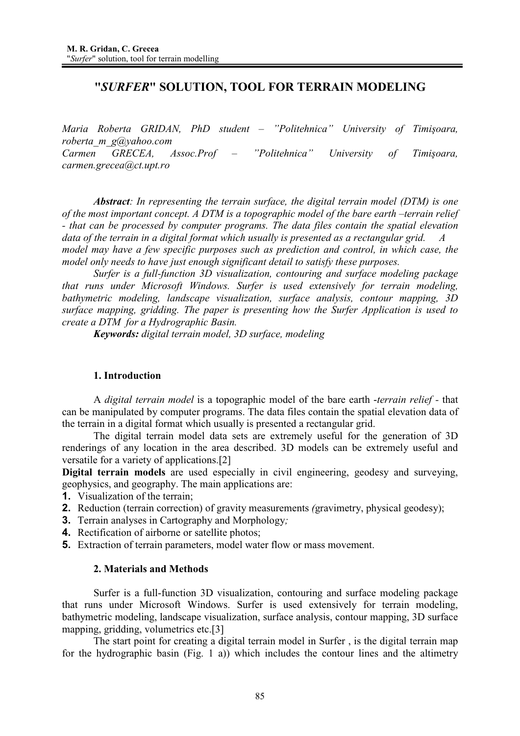# **"***SURFER***" SOLUTION, TOOL FOR TERRAIN MODELING**

*Maria Roberta GRIDAN, PhD student – "Politehnica" University of Timiúoara, roberta\_m\_g@yahoo.com Carmen GRECEA, Assoc.Prof – "Politehnica" University of Timiúoara, carmen.grecea@ct.upt.ro* 

*Abstract: In representing the terrain surface, the digital terrain model (DTM) is one of the most important concept. A DTM is a topographic model of the bare earth –terrain relief - that can be processed by computer programs. The data files contain the spatial elevation*  data of the terrain in a digital format which usually is presented as a rectangular grid. *model may have a few specific purposes such as prediction and control, in which case, the model only needs to have just enough significant detail to satisfy these purposes.* 

*Surfer is a full-function 3D visualization, contouring and surface modeling package that runs under Microsoft Windows. Surfer is used extensively for terrain modeling, bathymetric modeling, landscape visualization, surface analysis, contour mapping, 3D surface mapping, gridding. The paper is presenting how the Surfer Application is used to create a DTM for a Hydrographic Basin.* 

*Keywords: digital terrain model, 3D surface, modeling* 

## **1. Introduction**

A *digital terrain model* is a topographic model of the bare earth -*terrain relief -* that can be manipulated by computer programs. The data files contain the spatial elevation data of the terrain in a digital format which usually is presented a rectangular grid.

 The digital terrain model data sets are extremely useful for the generation of 3D renderings of any location in the area described. 3D models can be extremely useful and versatile for a variety of applications.[2]

**Digital terrain models** are used especially in civil engineering, geodesy and surveying, geophysics, and geography. The main applications are:

- **1.** Visualization of the terrain;
- **2.** Reduction (terrain correction) of gravity measurements *(*gravimetry, physical geodesy);
- **3.** Terrain analyses in Cartography and Morphology*;*
- **4.** Rectification of airborne or satellite photos;
- **5.** Extraction of terrain parameters, model water flow or mass movement.

### **2. Materials and Methods**

 Surfer is a full-function 3D visualization, contouring and surface modeling package that runs under Microsoft Windows. Surfer is used extensively for terrain modeling, bathymetric modeling, landscape visualization, surface analysis, contour mapping, 3D surface mapping, gridding, volumetrics etc.<sup>[3]</sup>

 The start point for creating a digital terrain model in Surfer , is the digital terrain map for the hydrographic basin (Fig. 1 a)) which includes the contour lines and the altimetry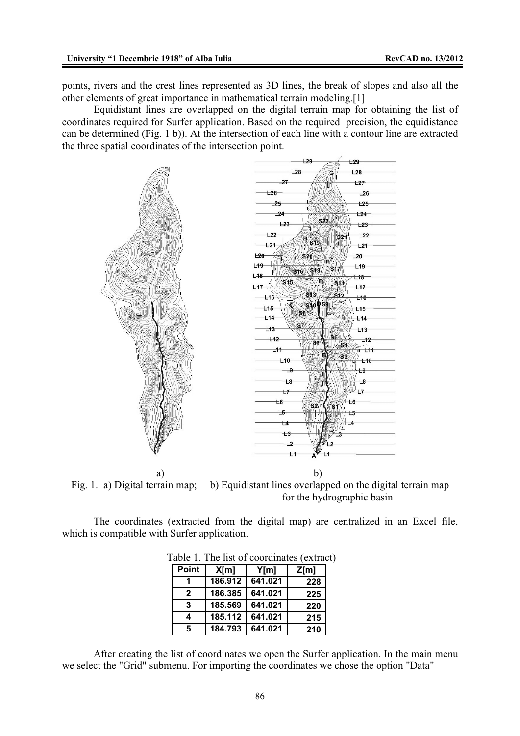points, rivers and the crest lines represented as 3D lines, the break of slopes and also all the other elements of great importance in mathematical terrain modeling.[1]

 Equidistant lines are overlapped on the digital terrain map for obtaining the list of coordinates required for Surfer application. Based on the required precision, the equidistance can be determined (Fig. 1 b)). At the intersection of each line with a contour line are extracted the three spatial coordinates of the intersection point.



a) b)

Fig. 1. a) Digital terrain map; b) Equidistant lines overlapped on the digital terrain map for the hydrographic basin

 The coordinates (extracted from the digital map) are centralized in an Excel file, which is compatible with Surfer application.

| Point |         |         |      |
|-------|---------|---------|------|
|       | X[m]    | Y[m]    | Z[m] |
|       | 186.912 | 641.021 | 228  |
| 2     | 186.385 | 641.021 | 225  |
| 3     | 185.569 | 641.021 | 220  |
| 4     | 185.112 | 641.021 | 215  |
| 5     | 184.793 | 641.021 | 210  |

Table 1. The list of coordinates (extract)

 After creating the list of coordinates we open the Surfer application. In the main menu we select the "Grid" submenu. For importing the coordinates we chose the option "Data"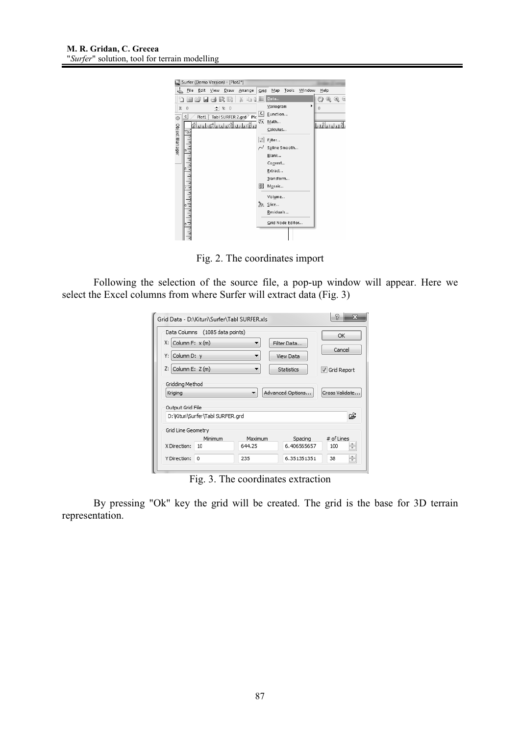

Fig. 2. The coordinates import

 Following the selection of the source file, a pop-up window will appear. Here we select the Excel columns from where Surfer will extract data (Fig. 3)

|                             | Grid Data - D:\Kituri\Surfer\Tabl SURFER.xls |         |                  | P<br>53              |
|-----------------------------|----------------------------------------------|---------|------------------|----------------------|
|                             | Data Columns (1085 data points)              |         |                  | OK                   |
| $X:$ Column F: $x$ (m)      |                                              | ▼       | Filter Data      |                      |
| Column D: v<br>Y: I         |                                              | ۰       | <b>View Data</b> | Cancel               |
| Z:<br>Column E: Z (m)       |                                              |         | Statistics       | <b>√</b> Grid Report |
|                             |                                              | ▼       |                  |                      |
| Kriging<br>Output Grid File |                                              |         | Advanced Options | Cross Validate       |
|                             | D: Wituri Surfer \Tabl SURFER.grd            |         |                  | ഭ്                   |
| Grid Line Geometry          |                                              |         |                  |                      |
|                             | Minimum                                      | Maximum | Spacing          | # of Lines           |
| X Direction:                | $10^{-}$                                     | 644.25  | 6.406565657      | ÷<br>100             |

Fig. 3. The coordinates extraction

 By pressing "Ok" key the grid will be created. The grid is the base for 3D terrain representation.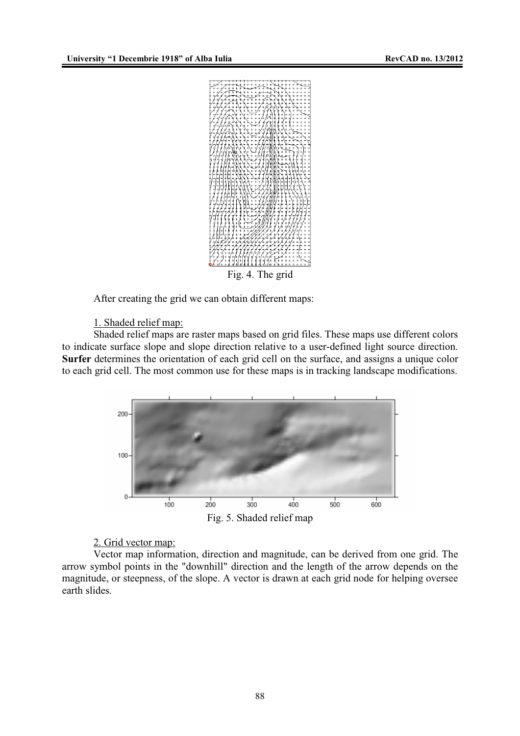

After creating the grid we can obtain different maps:

## 1. Shaded relief map:

 Shaded relief maps are raster maps based on grid files. These maps use different colors to indicate surface slope and slope direction relative to a user-defined light source direction. **Surfer** determines the orientation of each grid cell on the surface, and assigns a unique color to each grid cell. The most common use for these maps is in tracking landscape modifications.



#### 2. Grid vector map:

 Vector map information, direction and magnitude, can be derived from one grid. The arrow symbol points in the "downhill" direction and the length of the arrow depends on the magnitude, or steepness, of the slope. A vector is drawn at each grid node for helping oversee earth slides.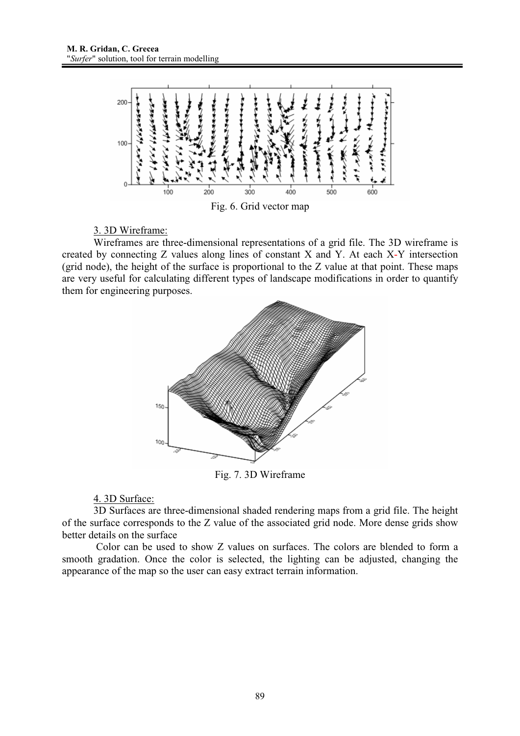

3. 3D Wireframe:

 Wireframes are three-dimensional representations of a grid file. The 3D wireframe is created by connecting Z values along lines of constant X and Y. At each X-Y intersection (grid node), the height of the surface is proportional to the Z value at that point. These maps are very useful for calculating different types of landscape modifications in order to quantify them for engineering purposes.



Fig. 7. 3D Wireframe

4. 3D Surface:

 3D Surfaces are three-dimensional shaded rendering maps from a grid file. The height of the surface corresponds to the Z value of the associated grid node. More dense grids show better details on the surface

 Color can be used to show Z values on surfaces. The colors are blended to form a smooth gradation. Once the color is selected, the lighting can be adjusted, changing the appearance of the map so the user can easy extract terrain information.